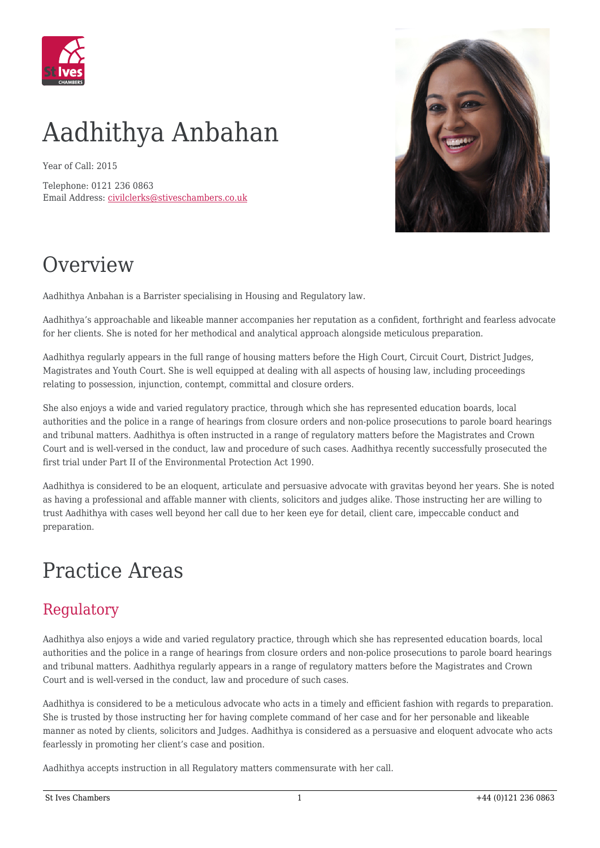

# Aadhithya Anbahan

Year of Call: 2015

Telephone: 0121 236 0863 Email Address: [civilclerks@stiveschambers.co.uk](mailto:civilclerks@stiveschambers.co.uk)



### **Overview**

Aadhithya Anbahan is a Barrister specialising in Housing and Regulatory law.

Aadhithya's approachable and likeable manner accompanies her reputation as a confident, forthright and fearless advocate for her clients. She is noted for her methodical and analytical approach alongside meticulous preparation.

Aadhithya regularly appears in the full range of housing matters before the High Court, Circuit Court, District Judges, Magistrates and Youth Court. She is well equipped at dealing with all aspects of housing law, including proceedings relating to possession, injunction, contempt, committal and closure orders.

She also enjoys a wide and varied regulatory practice, through which she has represented education boards, local authorities and the police in a range of hearings from closure orders and non-police prosecutions to parole board hearings and tribunal matters. Aadhithya is often instructed in a range of regulatory matters before the Magistrates and Crown Court and is well-versed in the conduct, law and procedure of such cases. Aadhithya recently successfully prosecuted the first trial under Part II of the Environmental Protection Act 1990.

Aadhithya is considered to be an eloquent, articulate and persuasive advocate with gravitas beyond her years. She is noted as having a professional and affable manner with clients, solicitors and judges alike. Those instructing her are willing to trust Aadhithya with cases well beyond her call due to her keen eye for detail, client care, impeccable conduct and preparation.

#### Practice Areas

#### Regulatory

Aadhithya also enjoys a wide and varied regulatory practice, through which she has represented education boards, local authorities and the police in a range of hearings from closure orders and non-police prosecutions to parole board hearings and tribunal matters. Aadhithya regularly appears in a range of regulatory matters before the Magistrates and Crown Court and is well-versed in the conduct, law and procedure of such cases.

Aadhithya is considered to be a meticulous advocate who acts in a timely and efficient fashion with regards to preparation. She is trusted by those instructing her for having complete command of her case and for her personable and likeable manner as noted by clients, solicitors and Judges. Aadhithya is considered as a persuasive and eloquent advocate who acts fearlessly in promoting her client's case and position.

Aadhithya accepts instruction in all Regulatory matters commensurate with her call.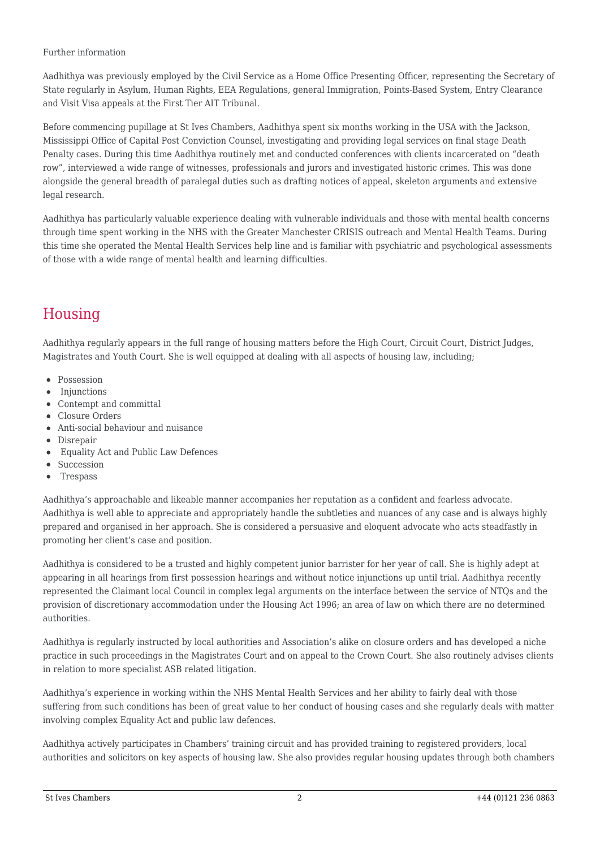#### Further information

Aadhithya was previously employed by the Civil Service as a Home Office Presenting Officer, representing the Secretary of State regularly in Asylum, Human Rights, EEA Regulations, general Immigration, Points-Based System, Entry Clearance and Visit Visa appeals at the First Tier AIT Tribunal.

Before commencing pupillage at St Ives Chambers, Aadhithya spent six months working in the USA with the Jackson, Mississippi Office of Capital Post Conviction Counsel, investigating and providing legal services on final stage Death Penalty cases. During this time Aadhithya routinely met and conducted conferences with clients incarcerated on "death row", interviewed a wide range of witnesses, professionals and jurors and investigated historic crimes. This was done alongside the general breadth of paralegal duties such as drafting notices of appeal, skeleton arguments and extensive legal research.

Aadhithya has particularly valuable experience dealing with vulnerable individuals and those with mental health concerns through time spent working in the NHS with the Greater Manchester CRISIS outreach and Mental Health Teams. During this time she operated the Mental Health Services help line and is familiar with psychiatric and psychological assessments of those with a wide range of mental health and learning difficulties.

#### Housing

Aadhithya regularly appears in the full range of housing matters before the High Court, Circuit Court, District Judges, Magistrates and Youth Court. She is well equipped at dealing with all aspects of housing law, including;

- Possession
- Injunctions
- Contempt and committal
- Closure Orders
- Anti-social behaviour and nuisance
- Disrepair
- Equality Act and Public Law Defences
- Succession
- $\bullet$ Trespass

Aadhithya's approachable and likeable manner accompanies her reputation as a confident and fearless advocate. Aadhithya is well able to appreciate and appropriately handle the subtleties and nuances of any case and is always highly prepared and organised in her approach. She is considered a persuasive and eloquent advocate who acts steadfastly in promoting her client's case and position.

Aadhithya is considered to be a trusted and highly competent junior barrister for her year of call. She is highly adept at appearing in all hearings from first possession hearings and without notice injunctions up until trial. Aadhithya recently represented the Claimant local Council in complex legal arguments on the interface between the service of NTQs and the provision of discretionary accommodation under the Housing Act 1996; an area of law on which there are no determined authorities.

Aadhithya is regularly instructed by local authorities and Association's alike on closure orders and has developed a niche practice in such proceedings in the Magistrates Court and on appeal to the Crown Court. She also routinely advises clients in relation to more specialist ASB related litigation.

Aadhithya's experience in working within the NHS Mental Health Services and her ability to fairly deal with those suffering from such conditions has been of great value to her conduct of housing cases and she regularly deals with matter involving complex Equality Act and public law defences.

Aadhithya actively participates in Chambers' training circuit and has provided training to registered providers, local authorities and solicitors on key aspects of housing law. She also provides regular housing updates through both chambers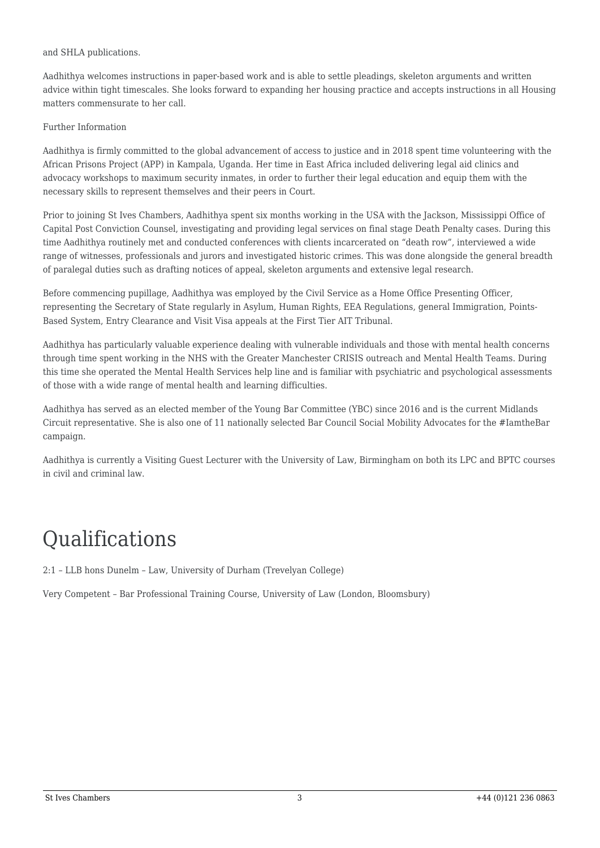#### and SHLA publications.

Aadhithya welcomes instructions in paper-based work and is able to settle pleadings, skeleton arguments and written advice within tight timescales. She looks forward to expanding her housing practice and accepts instructions in all Housing matters commensurate to her call.

#### Further Information

Aadhithya is firmly committed to the global advancement of access to justice and in 2018 spent time volunteering with the African Prisons Project (APP) in Kampala, Uganda. Her time in East Africa included delivering legal aid clinics and advocacy workshops to maximum security inmates, in order to further their legal education and equip them with the necessary skills to represent themselves and their peers in Court.

Prior to joining St Ives Chambers, Aadhithya spent six months working in the USA with the Jackson, Mississippi Office of Capital Post Conviction Counsel, investigating and providing legal services on final stage Death Penalty cases. During this time Aadhithya routinely met and conducted conferences with clients incarcerated on "death row", interviewed a wide range of witnesses, professionals and jurors and investigated historic crimes. This was done alongside the general breadth of paralegal duties such as drafting notices of appeal, skeleton arguments and extensive legal research.

Before commencing pupillage, Aadhithya was employed by the Civil Service as a Home Office Presenting Officer, representing the Secretary of State regularly in Asylum, Human Rights, EEA Regulations, general Immigration, Points-Based System, Entry Clearance and Visit Visa appeals at the First Tier AIT Tribunal.

Aadhithya has particularly valuable experience dealing with vulnerable individuals and those with mental health concerns through time spent working in the NHS with the Greater Manchester CRISIS outreach and Mental Health Teams. During this time she operated the Mental Health Services help line and is familiar with psychiatric and psychological assessments of those with a wide range of mental health and learning difficulties.

Aadhithya has served as an elected member of the Young Bar Committee (YBC) since 2016 and is the current Midlands Circuit representative. She is also one of 11 nationally selected Bar Council Social Mobility Advocates for the #IamtheBar campaign.

Aadhithya is currently a Visiting Guest Lecturer with the University of Law, Birmingham on both its LPC and BPTC courses in civil and criminal law.

#### Qualifications

2:1 – LLB hons Dunelm – Law, University of Durham (Trevelyan College)

Very Competent – Bar Professional Training Course, University of Law (London, Bloomsbury)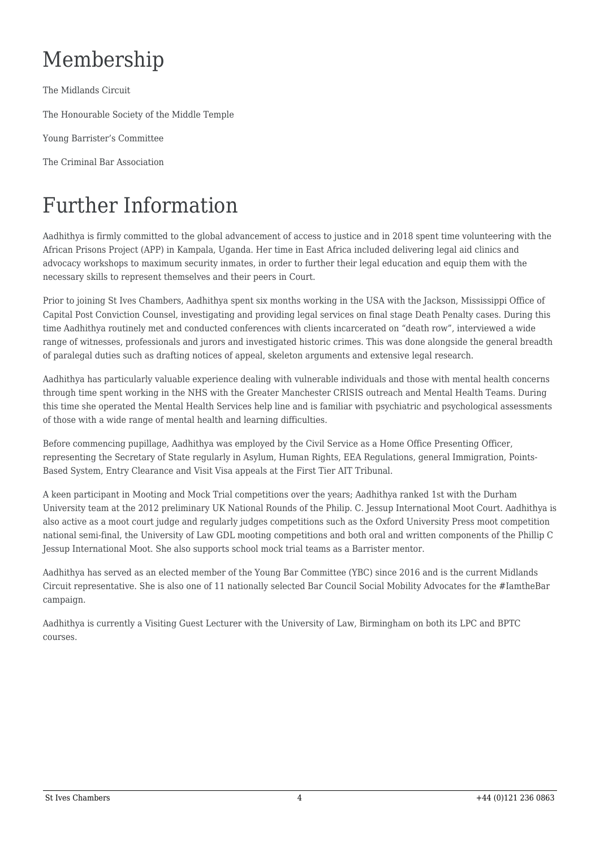## Membership

The Midlands Circuit

The Honourable Society of the Middle Temple

Young Barrister's Committee

The Criminal Bar Association

### Further Information

Aadhithya is firmly committed to the global advancement of access to justice and in 2018 spent time volunteering with the African Prisons Project (APP) in Kampala, Uganda. Her time in East Africa included delivering legal aid clinics and advocacy workshops to maximum security inmates, in order to further their legal education and equip them with the necessary skills to represent themselves and their peers in Court.

Prior to joining St Ives Chambers, Aadhithya spent six months working in the USA with the Jackson, Mississippi Office of Capital Post Conviction Counsel, investigating and providing legal services on final stage Death Penalty cases. During this time Aadhithya routinely met and conducted conferences with clients incarcerated on "death row", interviewed a wide range of witnesses, professionals and jurors and investigated historic crimes. This was done alongside the general breadth of paralegal duties such as drafting notices of appeal, skeleton arguments and extensive legal research.

Aadhithya has particularly valuable experience dealing with vulnerable individuals and those with mental health concerns through time spent working in the NHS with the Greater Manchester CRISIS outreach and Mental Health Teams. During this time she operated the Mental Health Services help line and is familiar with psychiatric and psychological assessments of those with a wide range of mental health and learning difficulties.

Before commencing pupillage, Aadhithya was employed by the Civil Service as a Home Office Presenting Officer, representing the Secretary of State regularly in Asylum, Human Rights, EEA Regulations, general Immigration, Points-Based System, Entry Clearance and Visit Visa appeals at the First Tier AIT Tribunal.

A keen participant in Mooting and Mock Trial competitions over the years; Aadhithya ranked 1st with the Durham University team at the 2012 preliminary UK National Rounds of the Philip. C. Jessup International Moot Court. Aadhithya is also active as a moot court judge and regularly judges competitions such as the Oxford University Press moot competition national semi-final, the University of Law GDL mooting competitions and both oral and written components of the Phillip C Jessup International Moot. She also supports school mock trial teams as a Barrister mentor.

Aadhithya has served as an elected member of the Young Bar Committee (YBC) since 2016 and is the current Midlands Circuit representative. She is also one of 11 nationally selected Bar Council Social Mobility Advocates for the #IamtheBar campaign.

Aadhithya is currently a Visiting Guest Lecturer with the University of Law, Birmingham on both its LPC and BPTC courses.